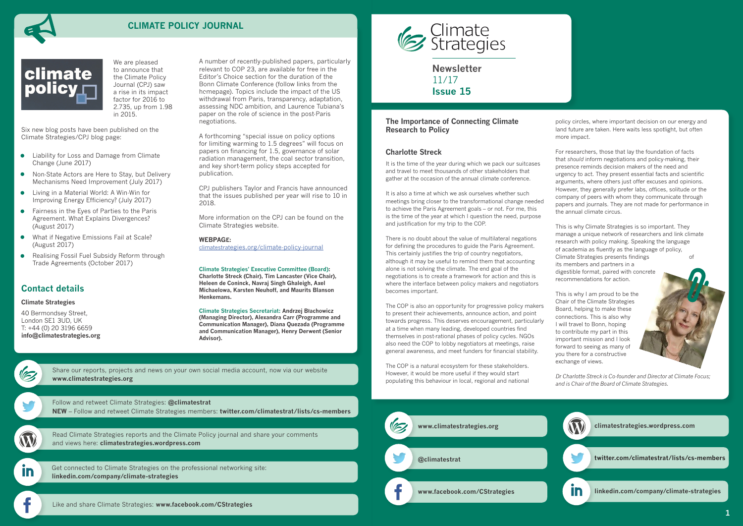**Newsletter** 11/17 **Issue 15**



# **CLIMATE POLICY JOURNAL**



# **Contact details**

**Climate Strategies**

40 Bermondsey Street, London SE1 3UD, UK T: +44 (0) 20 3196 6659 **[info@climatestrategies.org](mailto:info%40climatestrategies.org?subject=)**

> Follow and retweet Climate Strategies: **[@climatestrat](https://twitter.com/climatestrat) NEW** [– Follow and retweet Climate Strategies members:](twitter.com/climatestrat) **[twitter.com/climatestrat/lists/cs-members](https://twitter.com/climatestrat/lists/cs-members)**

In

[Get connected to Climate Strategies on the professional networking site:](linkedin.com/company/climate-strategies)  **[linkedin.com/company/climate-strategies](http://linkedin.com/company/climate-strategies)**



[Read Climate Strategies reports and the Climate Policy journal and share your comments](http://climatestrategies.wordpress.com/)  and views here: **[climatestrategies.wordpress.com](http://climatestrategies.wordpress.com/)**

[Share our reports, projects and news on your own social media account, now via our website](http://www.climatestrategies.org/about-us/newsletter-archive) **[www.climatestrategies.org](http://www.climatestrategies.org)**

A number of recently-published papers, particularly relevant to COP 23, are available for free in the Editor's Choice section for the duration of the Bonn Climate Conference (follow links from the homepage). Topics include the impact of the US withdrawal from Paris, transparency, adaptation, assessing NDC ambition, and Laurence Tubiana's paper on the role of science in the post-Paris negotiations.

> It is the time of the year during which we pack our suitcases and travel to meet thousands of other stakeholders that gather at the occasion of the annual climate conference.

A forthcoming "special issue on policy options for limiting warming to 1.5 degrees" will focus on papers on financing for 1.5, governance of solar radiation management, the coal sector transition, and key short-term policy steps accepted for publication.

CPJ publishers Taylor and Francis have announced that the issues published per year will rise to 10 in 2018.

More information on the CPJ can be found on the Climate Strategies website.

**WEBPAGE:**

[climatestrategies.org/climate-policy-journa](http://climatestrategies.org/climate-policy-journal/)l

**Climate Strategies' Executive Committee (Board): Charlotte Streck (Chair), Tim Lancaster (Vice Chair), Heleen de Coninck, Navraj Singh Ghaleigh, Axel Michaelowa, Karsten Neuhoff, and Maurits Blanson Henkemans.**

**Climate Strategies Secretariat: Andrzej Błachowicz (Managing Director), Alexandra Carr (Programme and Communication Manager), Diana Quezada (Programme and Communication Manager), Henry Derwent (Senior Advisor).**



### **The Importance of Connecting Climate Research to Policy**

# **Charlotte Streck**

It is also a time at which we ask ourselves whether such meetings bring closer to the transformational change needed to achieve the Paris Agreement goals – or not. For me, this is the time of the year at which I question the need, purpose and justification for my trip to the COP.

There is no doubt about the value of multilateral negations for defining the procedures to guide the Paris Agreement. This certainly justifies the trip of country negotiators, although it may be useful to remind them that accounting alone is not solving the climate. The end goal of the negotiations is to create a framework for action and this is where the interface between policy makers and negotiators becomes important.

The COP is also an opportunity for progressive policy makers to present their achievements, announce action, and point towards progress. This deserves encouragement, particularly at a time when many leading, developed countries find themselves in post-rational phases of policy cycles. NGOs also need the COP to lobby negotiators at meetings, raise general awareness, and meet funders for financial stability.

The COP is a natural ecosystem for these stakeholders. However, it would be more useful if they would start populating this behaviour in local, regional and national policy circles, where important decision on our energy and land future are taken. Here waits less spotlight, but often more impact.

For researchers, those that lay the foundation of facts that *should* inform negotiations and policy-making, their presence reminds decision makers of the need and urgency to act. They present essential facts and scientific arguments, where others just offer excuses and opinions. However, they generally prefer labs, offices, solitude or the company of peers with whom they communicate through papers and journals. They are not made for performance in the annual climate circus.

This is why Climate Strategies is so important. They manage a unique network of researchers and link climate research with policy making. Speaking the language of academia as fluently as the language of policy, Climate Strategies presents findings of its members and partners in a digestible format, paired with concrete recommendations for action.

This is why I am proud to be the Chair of the Climate Strategies Board, helping to make these connections. This is also why I will travel to Bonn, hoping to contribute my part in this important mission and I look forward to seeing as many of you there for a constructive exchange of views.



We are pleased to announce that the Climate Policy Journal (CPJ) saw a rise in its impact factor for 2016 to 2.735, up from 1.98 in 2015.

Six new blog posts have been published on the Climate Strategies/CPJ blog page:

- Liability for Loss and Damage from Climate Change (June 2017)
- Non-State Actors are Here to Stay, but Delivery Mechanisms Need Improvement (July 2017)
- Living in a Material World: A Win-Win for Improving Energy Efficiency? (July 2017)
- Fairness in the Eyes of Parties to the Paris Agreement. What Explains Divergences? (August 2017)
- What if Negative Emissions Fail at Scale? (August 2017)
- Realising Fossil Fuel Subsidy Reform through Trade Agreements (October 2017)

*Dr Charlotte Streck is Co-founder and Director at Climate Focus; and is Chair of the Board of Climate Strategies.*